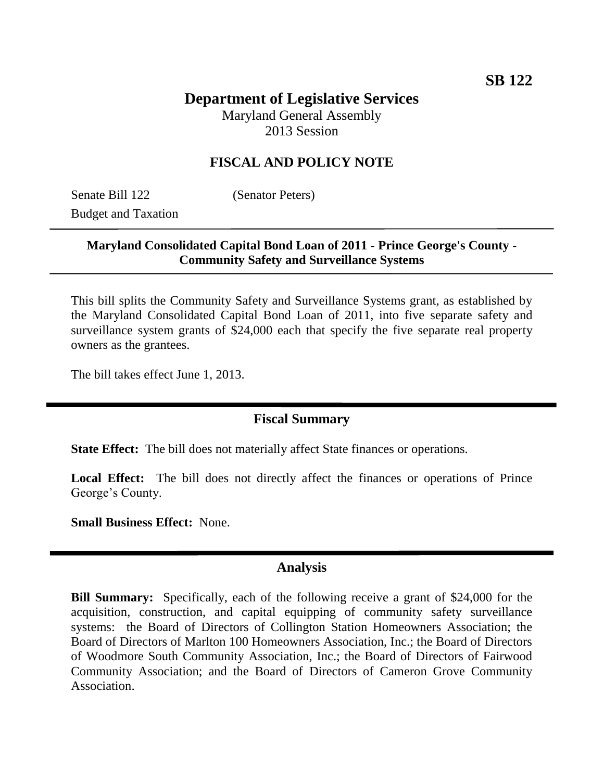# **Department of Legislative Services**

Maryland General Assembly 2013 Session

### **FISCAL AND POLICY NOTE**

Senate Bill 122 (Senator Peters) Budget and Taxation

### **Maryland Consolidated Capital Bond Loan of 2011 - Prince George's County - Community Safety and Surveillance Systems**

This bill splits the Community Safety and Surveillance Systems grant, as established by the Maryland Consolidated Capital Bond Loan of 2011, into five separate safety and surveillance system grants of \$24,000 each that specify the five separate real property owners as the grantees.

The bill takes effect June 1, 2013.

#### **Fiscal Summary**

**State Effect:** The bill does not materially affect State finances or operations.

Local Effect: The bill does not directly affect the finances or operations of Prince George's County.

**Small Business Effect:** None.

#### **Analysis**

**Bill Summary:** Specifically, each of the following receive a grant of \$24,000 for the acquisition, construction, and capital equipping of community safety surveillance systems: the Board of Directors of Collington Station Homeowners Association; the Board of Directors of Marlton 100 Homeowners Association, Inc.; the Board of Directors of Woodmore South Community Association, Inc.; the Board of Directors of Fairwood Community Association; and the Board of Directors of Cameron Grove Community Association.